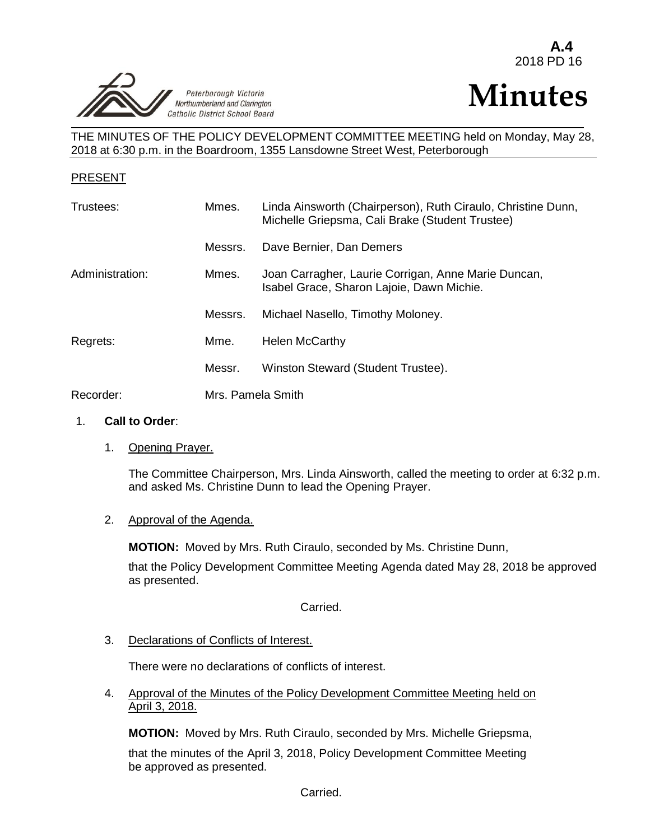

# **Minutes**

THE MINUTES OF THE POLICY DEVELOPMENT COMMITTEE MEETING held on Monday, May 28, 2018 at 6:30 p.m. in the Boardroom, 1355 Lansdowne Street West, Peterborough

## PRESENT

| Trustees:       | Mmes.             | Linda Ainsworth (Chairperson), Ruth Ciraulo, Christine Dunn,<br>Michelle Griepsma, Cali Brake (Student Trustee) |
|-----------------|-------------------|-----------------------------------------------------------------------------------------------------------------|
|                 | Messrs.           | Dave Bernier, Dan Demers                                                                                        |
| Administration: | Mmes.             | Joan Carragher, Laurie Corrigan, Anne Marie Duncan,<br>Isabel Grace, Sharon Lajoie, Dawn Michie.                |
|                 | Messrs.           | Michael Nasello, Timothy Moloney.                                                                               |
| Regrets:        | Mme.              | <b>Helen McCarthy</b>                                                                                           |
|                 | Messr.            | Winston Steward (Student Trustee).                                                                              |
| Recorder:       | Mrs. Pamela Smith |                                                                                                                 |

#### 1. **Call to Order**:

1. Opening Prayer.

The Committee Chairperson, Mrs. Linda Ainsworth, called the meeting to order at 6:32 p.m. and asked Ms. Christine Dunn to lead the Opening Prayer.

2. Approval of the Agenda.

**MOTION:** Moved by Mrs. Ruth Ciraulo, seconded by Ms. Christine Dunn,

that the Policy Development Committee Meeting Agenda dated May 28, 2018 be approved as presented.

Carried.

3. Declarations of Conflicts of Interest.

There were no declarations of conflicts of interest.

4. Approval of the Minutes of the Policy Development Committee Meeting held on April 3, 2018.

**MOTION:** Moved by Mrs. Ruth Ciraulo, seconded by Mrs. Michelle Griepsma,

that the minutes of the April 3, 2018, Policy Development Committee Meeting be approved as presented.

Carried.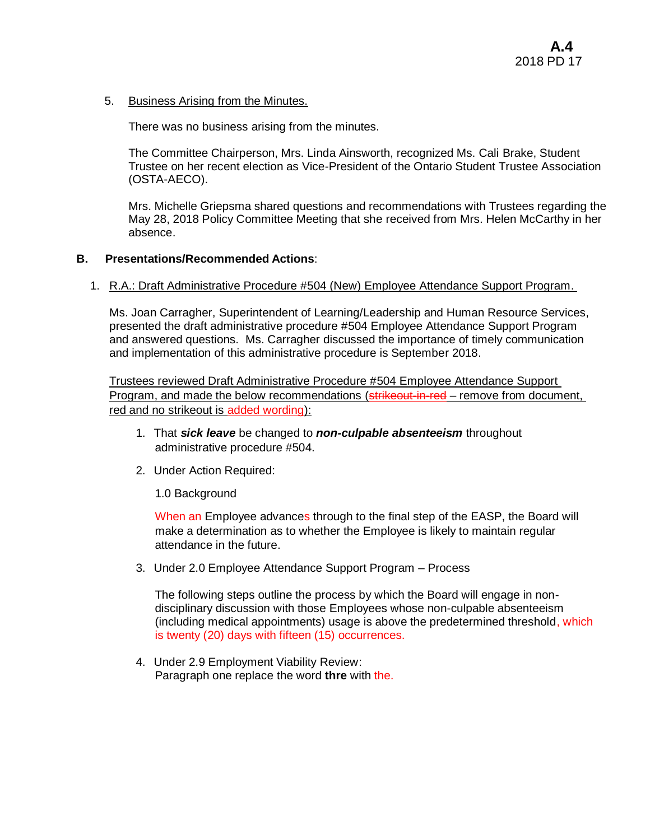5. Business Arising from the Minutes.

There was no business arising from the minutes.

The Committee Chairperson, Mrs. Linda Ainsworth, recognized Ms. Cali Brake, Student Trustee on her recent election as Vice-President of the Ontario Student Trustee Association (OSTA-AECO).

Mrs. Michelle Griepsma shared questions and recommendations with Trustees regarding the May 28, 2018 Policy Committee Meeting that she received from Mrs. Helen McCarthy in her absence.

## **B. Presentations/Recommended Actions**:

1. R.A.: Draft Administrative Procedure #504 (New) Employee Attendance Support Program.

Ms. Joan Carragher, Superintendent of Learning/Leadership and Human Resource Services, presented the draft administrative procedure #504 Employee Attendance Support Program and answered questions. Ms. Carragher discussed the importance of timely communication and implementation of this administrative procedure is September 2018.

Trustees reviewed Draft Administrative Procedure #504 Employee Attendance Support Program, and made the below recommendations (strikeout-in-red – remove from document, red and no strikeout is added wording):

- 1. That *sick leave* be changed to *non-culpable absenteeism* throughout administrative procedure #504.
- 2. Under Action Required:

1.0 Background

When an Employee advances through to the final step of the EASP, the Board will make a determination as to whether the Employee is likely to maintain regular attendance in the future.

3. Under 2.0 Employee Attendance Support Program – Process

The following steps outline the process by which the Board will engage in nondisciplinary discussion with those Employees whose non-culpable absenteeism (including medical appointments) usage is above the predetermined threshold, which is twenty (20) days with fifteen (15) occurrences.

4. Under 2.9 Employment Viability Review: Paragraph one replace the word **thre** with the.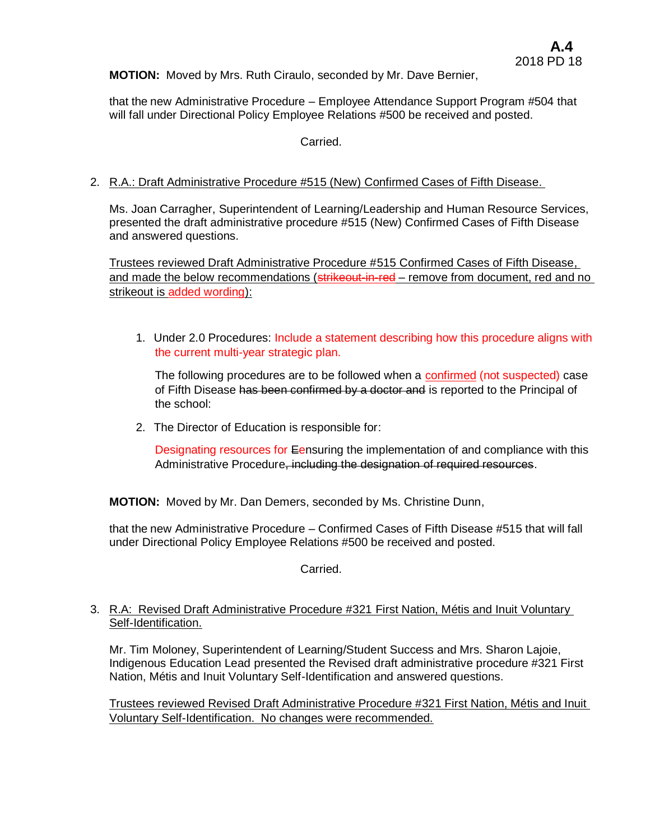**MOTION:** Moved by Mrs. Ruth Ciraulo, seconded by Mr. Dave Bernier,

that the new Administrative Procedure – Employee Attendance Support Program #504 that will fall under Directional Policy Employee Relations #500 be received and posted.

Carried.

## 2. R.A.: Draft Administrative Procedure #515 (New) Confirmed Cases of Fifth Disease.

Ms. Joan Carragher, Superintendent of Learning/Leadership and Human Resource Services, presented the draft administrative procedure #515 (New) Confirmed Cases of Fifth Disease and answered questions.

Trustees reviewed Draft Administrative Procedure #515 Confirmed Cases of Fifth Disease, and made the below recommendations (strikeout-in-red – remove from document, red and no strikeout is added wording):

1. Under 2.0 Procedures: Include a statement describing how this procedure aligns with the current multi-year strategic plan.

The following procedures are to be followed when a confirmed (not suspected) case of Fifth Disease has been confirmed by a doctor and is reported to the Principal of the school:

2. The Director of Education is responsible for:

Designating resources for Eensuring the implementation of and compliance with this Administrative Procedure, including the designation of required resources.

**MOTION:** Moved by Mr. Dan Demers, seconded by Ms. Christine Dunn,

that the new Administrative Procedure – Confirmed Cases of Fifth Disease #515 that will fall under Directional Policy Employee Relations #500 be received and posted.

Carried.

## 3. R.A: Revised Draft Administrative Procedure #321 First Nation, Métis and Inuit Voluntary Self-Identification.

Mr. Tim Moloney, Superintendent of Learning/Student Success and Mrs. Sharon Lajoie, Indigenous Education Lead presented the Revised draft administrative procedure #321 First Nation, Métis and Inuit Voluntary Self-Identification and answered questions.

Trustees reviewed Revised Draft Administrative Procedure #321 First Nation, Métis and Inuit Voluntary Self-Identification. No changes were recommended.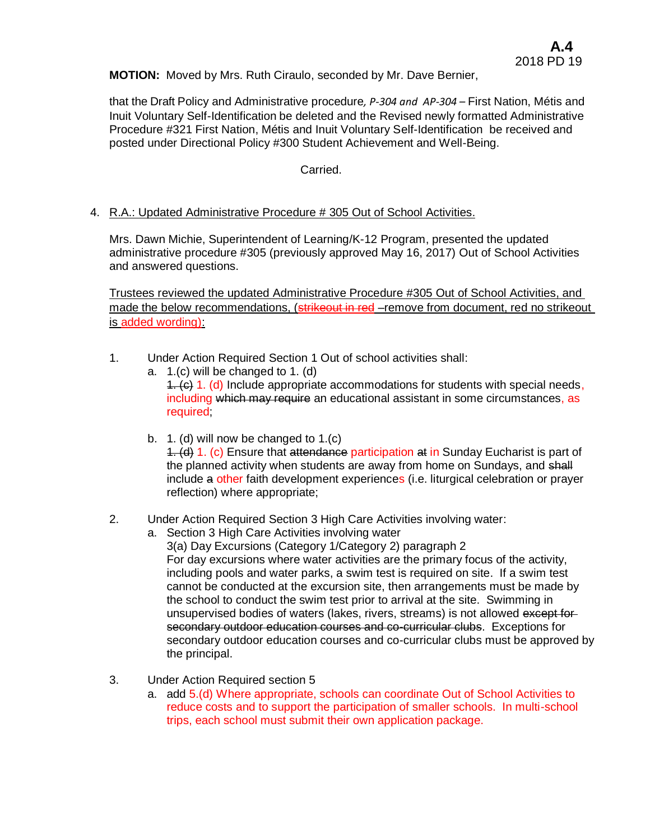**MOTION:** Moved by Mrs. Ruth Ciraulo, seconded by Mr. Dave Bernier,

that the Draft Policy and Administrative procedure*, P-304 and AP-304 –* First Nation, Métis and Inuit Voluntary Self-Identification be deleted and the Revised newly formatted Administrative Procedure #321 First Nation, Métis and Inuit Voluntary Self-Identification be received and posted under Directional Policy #300 Student Achievement and Well-Being.

## Carried.

4. R.A.: Updated Administrative Procedure # 305 Out of School Activities.

Mrs. Dawn Michie, Superintendent of Learning/K-12 Program, presented the updated administrative procedure #305 (previously approved May 16, 2017) Out of School Activities and answered questions.

Trustees reviewed the updated Administrative Procedure #305 Out of School Activities, and made the below recommendations, (strikeout in red –remove from document, red no strikeout is added wording):

- 1. Under Action Required Section 1 Out of school activities shall:
	- a. 1.(c) will be changed to 1. (d)  $1.$  (c) 1. (d) Include appropriate accommodations for students with special needs, including which may require an educational assistant in some circumstances, as required;
	- b. 1. (d) will now be changed to 1.(c) 1. (d) 1. (c) Ensure that attendance participation at in Sunday Eucharist is part of the planned activity when students are away from home on Sundays, and shall include a other faith development experiences (i.e. liturgical celebration or prayer reflection) where appropriate;

# 2. Under Action Required Section 3 High Care Activities involving water:

- a. Section 3 High Care Activities involving water 3(a) Day Excursions (Category 1/Category 2) paragraph 2 For day excursions where water activities are the primary focus of the activity, including pools and water parks, a swim test is required on site. If a swim test cannot be conducted at the excursion site, then arrangements must be made by the school to conduct the swim test prior to arrival at the site. Swimming in unsupervised bodies of waters (lakes, rivers, streams) is not allowed except forsecondary outdoor education courses and co-curricular clubs. Exceptions for secondary outdoor education courses and co-curricular clubs must be approved by the principal.
- 3. Under Action Required section 5
	- a. add 5.(d) Where appropriate, schools can coordinate Out of School Activities to reduce costs and to support the participation of smaller schools. In multi-school trips, each school must submit their own application package.